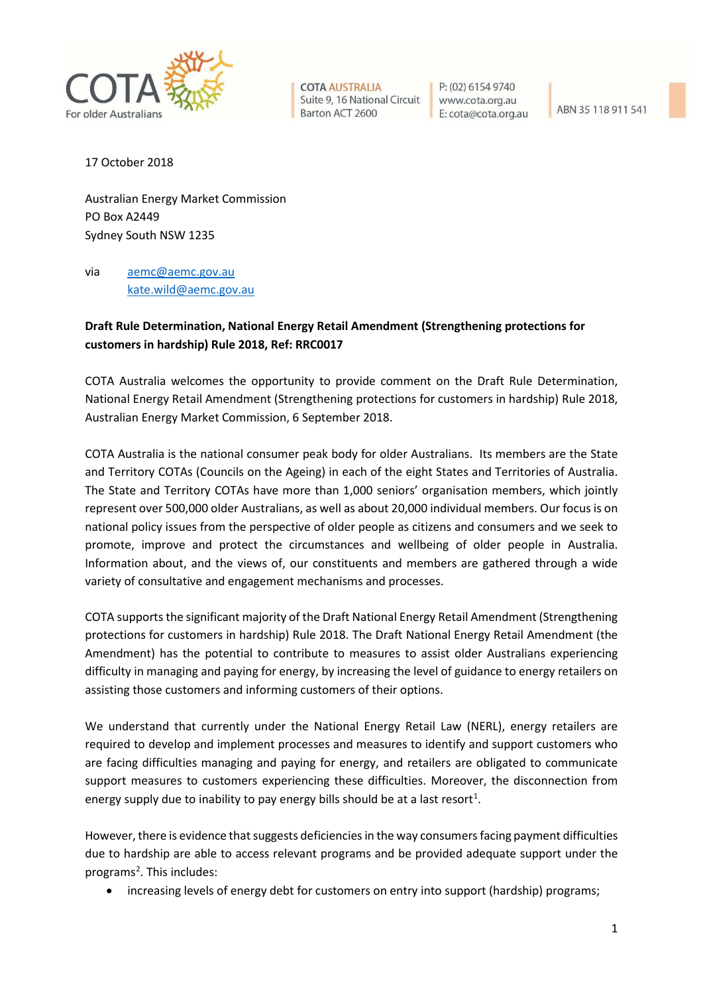

**COTA AUSTRALIA** Suite 9, 16 National Circuit Barton ACT 2600

P: (02) 6154 9740 www.cota.org.au E: cota@cota.org.au

ABN 35 118 911 541

17 October 2018

Australian Energy Market Commission PO Box A2449 Sydney South NSW 1235

via [aemc@aemc.gov.au](mailto:aemc@aemc.gov.au) [kate.wild@aemc.gov.au](mailto:kate.wild@aemc.gov.au)

## **Draft Rule Determination, National Energy Retail Amendment (Strengthening protections for customers in hardship) Rule 2018, Ref: RRC0017**

COTA Australia welcomes the opportunity to provide comment on the Draft Rule Determination, National Energy Retail Amendment (Strengthening protections for customers in hardship) Rule 2018, Australian Energy Market Commission, 6 September 2018.

COTA Australia is the national consumer peak body for older Australians. Its members are the State and Territory COTAs (Councils on the Ageing) in each of the eight States and Territories of Australia. The State and Territory COTAs have more than 1,000 seniors' organisation members, which jointly represent over 500,000 older Australians, as well as about 20,000 individual members. Our focus is on national policy issues from the perspective of older people as citizens and consumers and we seek to promote, improve and protect the circumstances and wellbeing of older people in Australia. Information about, and the views of, our constituents and members are gathered through a wide variety of consultative and engagement mechanisms and processes.

COTA supports the significant majority of the Draft National Energy Retail Amendment (Strengthening protections for customers in hardship) Rule 2018. The Draft National Energy Retail Amendment (the Amendment) has the potential to contribute to measures to assist older Australians experiencing difficulty in managing and paying for energy, by increasing the level of guidance to energy retailers on assisting those customers and informing customers of their options.

We understand that currently under the National Energy Retail Law (NERL), energy retailers are required to develop and implement processes and measures to identify and support customers who are facing difficulties managing and paying for energy, and retailers are obligated to communicate support measures to customers experiencing these difficulties. Moreover, the disconnection from energy supply due to inability to pay energy bills should be at a last resort<sup>[1](#page-3-0)</sup>.

However, there is evidence that suggests deficiencies in the way consumers facing payment difficulties due to hardship are able to access relevant programs and be provided adequate support under the programs<sup>[2](#page-3-1)</sup>. This includes:

• increasing levels of energy debt for customers on entry into support (hardship) programs;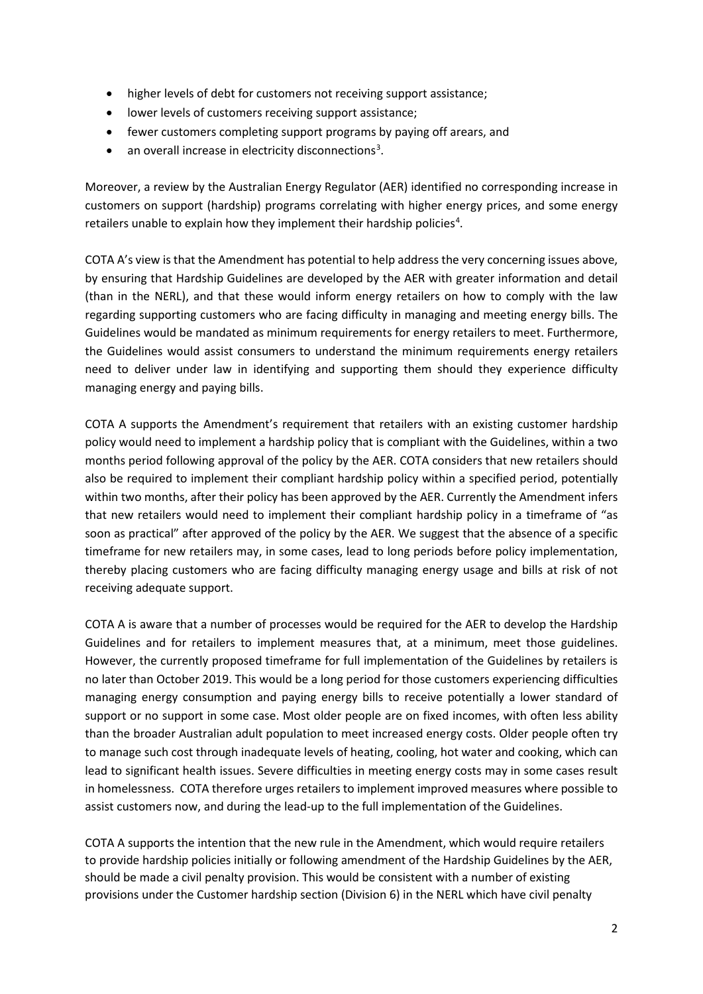- higher levels of debt for customers not receiving support assistance;
- lower levels of customers receiving support assistance;
- fewer customers completing support programs by paying off arears, and
- $\bullet$  an overall increase in electricity disconnections<sup>[3](#page-3-2)</sup>.

Moreover, a review by the Australian Energy Regulator (AER) identified no corresponding increase in customers on support (hardship) programs correlating with higher energy prices, and some energy retailers unable to explain how they implement their hardship policies<sup>[4](#page-3-3)</sup>.

COTA A's view is that the Amendment has potential to help address the very concerning issues above, by ensuring that Hardship Guidelines are developed by the AER with greater information and detail (than in the NERL), and that these would inform energy retailers on how to comply with the law regarding supporting customers who are facing difficulty in managing and meeting energy bills. The Guidelines would be mandated as minimum requirements for energy retailers to meet. Furthermore, the Guidelines would assist consumers to understand the minimum requirements energy retailers need to deliver under law in identifying and supporting them should they experience difficulty managing energy and paying bills.

COTA A supports the Amendment's requirement that retailers with an existing customer hardship policy would need to implement a hardship policy that is compliant with the Guidelines, within a two months period following approval of the policy by the AER. COTA considers that new retailers should also be required to implement their compliant hardship policy within a specified period, potentially within two months, after their policy has been approved by the AER. Currently the Amendment infers that new retailers would need to implement their compliant hardship policy in a timeframe of "as soon as practical" after approved of the policy by the AER. We suggest that the absence of a specific timeframe for new retailers may, in some cases, lead to long periods before policy implementation, thereby placing customers who are facing difficulty managing energy usage and bills at risk of not receiving adequate support.

COTA A is aware that a number of processes would be required for the AER to develop the Hardship Guidelines and for retailers to implement measures that, at a minimum, meet those guidelines. However, the currently proposed timeframe for full implementation of the Guidelines by retailers is no later than October 2019. This would be a long period for those customers experiencing difficulties managing energy consumption and paying energy bills to receive potentially a lower standard of support or no support in some case. Most older people are on fixed incomes, with often less ability than the broader Australian adult population to meet increased energy costs. Older people often try to manage such cost through inadequate levels of heating, cooling, hot water and cooking, which can lead to significant health issues. Severe difficulties in meeting energy costs may in some cases result in homelessness. COTA therefore urges retailers to implement improved measures where possible to assist customers now, and during the lead-up to the full implementation of the Guidelines.

COTA A supports the intention that the new rule in the Amendment, which would require retailers to provide hardship policies initially or following amendment of the Hardship Guidelines by the AER, should be made a civil penalty provision. This would be consistent with a number of existing provisions under the Customer hardship section (Division 6) in the NERL which have civil penalty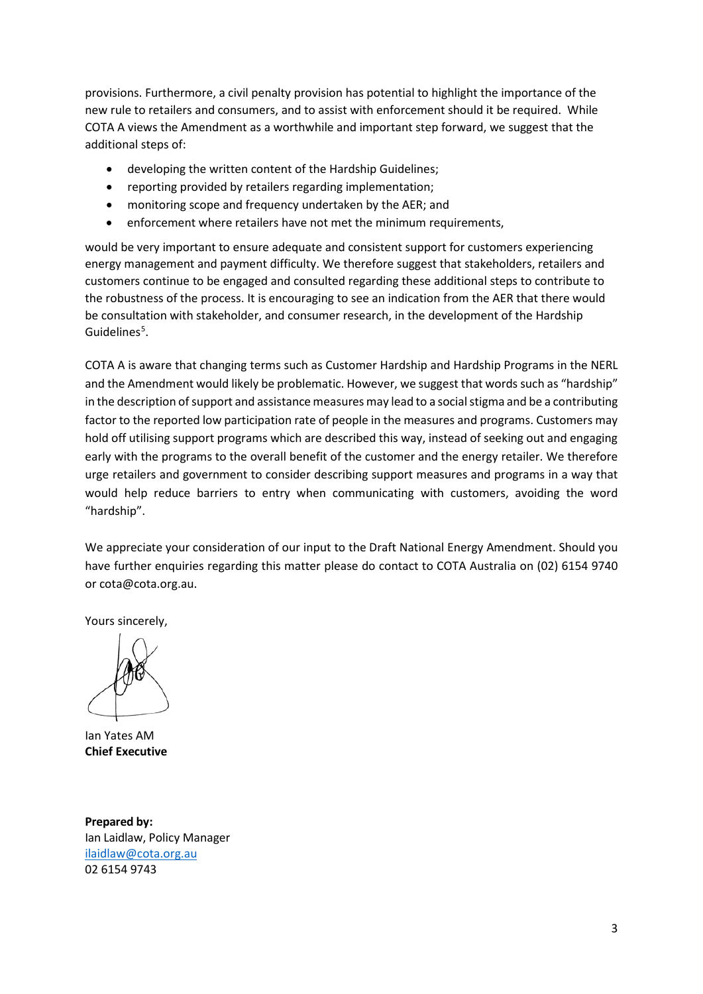provisions. Furthermore, a civil penalty provision has potential to highlight the importance of the new rule to retailers and consumers, and to assist with enforcement should it be required. While COTA A views the Amendment as a worthwhile and important step forward, we suggest that the additional steps of:

- developing the written content of the Hardship Guidelines;
- reporting provided by retailers regarding implementation;
- monitoring scope and frequency undertaken by the AER; and
- enforcement where retailers have not met the minimum requirements,

would be very important to ensure adequate and consistent support for customers experiencing energy management and payment difficulty. We therefore suggest that stakeholders, retailers and customers continue to be engaged and consulted regarding these additional steps to contribute to the robustness of the process. It is encouraging to see an indication from the AER that there would be consultation with stakeholder, and consumer research, in the development of the Hardship Guidelines<sup>[5](#page-3-4)</sup>.

COTA A is aware that changing terms such as Customer Hardship and Hardship Programs in the NERL and the Amendment would likely be problematic. However, we suggest that words such as "hardship" in the description of support and assistance measures may lead to a social stigma and be a contributing factor to the reported low participation rate of people in the measures and programs. Customers may hold off utilising support programs which are described this way, instead of seeking out and engaging early with the programs to the overall benefit of the customer and the energy retailer. We therefore urge retailers and government to consider describing support measures and programs in a way that would help reduce barriers to entry when communicating with customers, avoiding the word "hardship".

We appreciate your consideration of our input to the Draft National Energy Amendment. Should you have further enquiries regarding this matter please do contact to COTA Australia on (02) 6154 9740 or cota@cota.org.au.

Yours sincerely,

Ian Yates AM **Chief Executive**

**Prepared by:** Ian Laidlaw, Policy Manager [ilaidlaw@cota.org.au](mailto:ilaidlaw@cota.org.au) 02 6154 9743